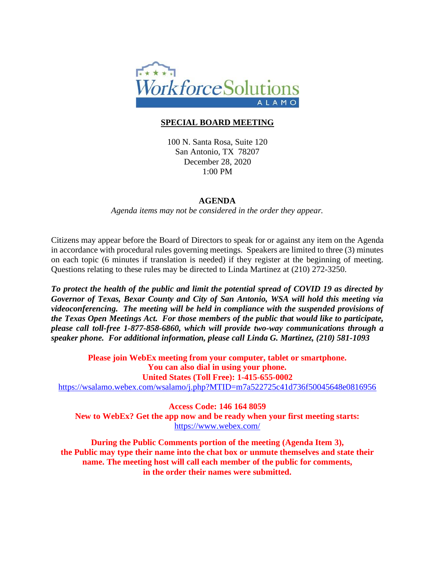

## **SPECIAL BOARD MEETING**

100 N. Santa Rosa, Suite 120 San Antonio, TX 78207 December 28, 2020 1:00 PM

## **AGENDA**

*Agenda items may not be considered in the order they appear.*

Citizens may appear before the Board of Directors to speak for or against any item on the Agenda in accordance with procedural rules governing meetings. Speakers are limited to three (3) minutes on each topic (6 minutes if translation is needed) if they register at the beginning of meeting. Questions relating to these rules may be directed to Linda Martinez at (210) 272-3250.

*To protect the health of the public and limit the potential spread of COVID 19 as directed by Governor of Texas, Bexar County and City of San Antonio, WSA will hold this meeting via videoconferencing. The meeting will be held in compliance with the suspended provisions of the Texas Open Meetings Act. For those members of the public that would like to participate, please call toll-free 1-877-858-6860, which will provide two-way communications through a speaker phone. For additional information, please call Linda G. Martinez, (210) 581-1093*

**Please join WebEx meeting from your computer, tablet or smartphone. You can also dial in using your phone. United States (Toll Free): 1-415-655-0002** <https://wsalamo.webex.com/wsalamo/j.php?MTID=m7a522725c41d736f50045648e0816956>

**Access Code: 146 164 8059 New to WebEx? Get the app now and be ready when your first meeting starts:**  <https://www.webex.com/>

**During the Public Comments portion of the meeting (Agenda Item 3), the Public may type their name into the chat box or unmute themselves and state their name. The meeting host will call each member of the public for comments, in the order their names were submitted.**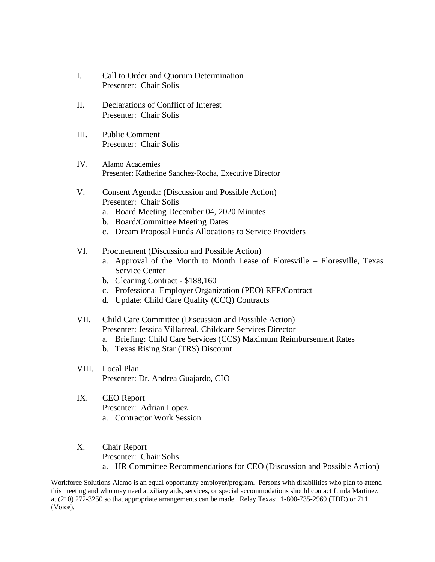- I. Call to Order and Quorum Determination Presenter: Chair Solis
- II. Declarations of Conflict of Interest Presenter: Chair Solis
- III. Public Comment Presenter: Chair Solis
- IV. Alamo Academies Presenter: Katherine Sanchez-Rocha, Executive Director
- V. Consent Agenda: (Discussion and Possible Action) Presenter: Chair Solis
	- a. Board Meeting December 04, 2020 Minutes
	- b. Board/Committee Meeting Dates
	- c. Dream Proposal Funds Allocations to Service Providers
- VI. Procurement (Discussion and Possible Action)
	- a. Approval of the Month to Month Lease of Floresville Floresville, Texas Service Center
	- b. Cleaning Contract \$188,160
	- c. Professional Employer Organization (PEO) RFP/Contract
	- d. Update: Child Care Quality (CCQ) Contracts
- VII. Child Care Committee (Discussion and Possible Action) Presenter: Jessica Villarreal, Childcare Services Director
	- a. Briefing: Child Care Services (CCS) Maximum Reimbursement Rates
	- b. Texas Rising Star (TRS) Discount
- VIII. Local Plan Presenter: Dr. Andrea Guajardo, CIO
- IX. CEO Report Presenter: Adrian Lopez a. Contractor Work Session
- X. Chair Report Presenter: Chair Solis a. HR Committee Recommendations for CEO (Discussion and Possible Action)

Workforce Solutions Alamo is an equal opportunity employer/program. Persons with disabilities who plan to attend this meeting and who may need auxiliary aids, services, or special accommodations should contact Linda Martinez at (210) 272-3250 so that appropriate arrangements can be made. Relay Texas: 1-800-735-2969 (TDD) or 711 (Voice).